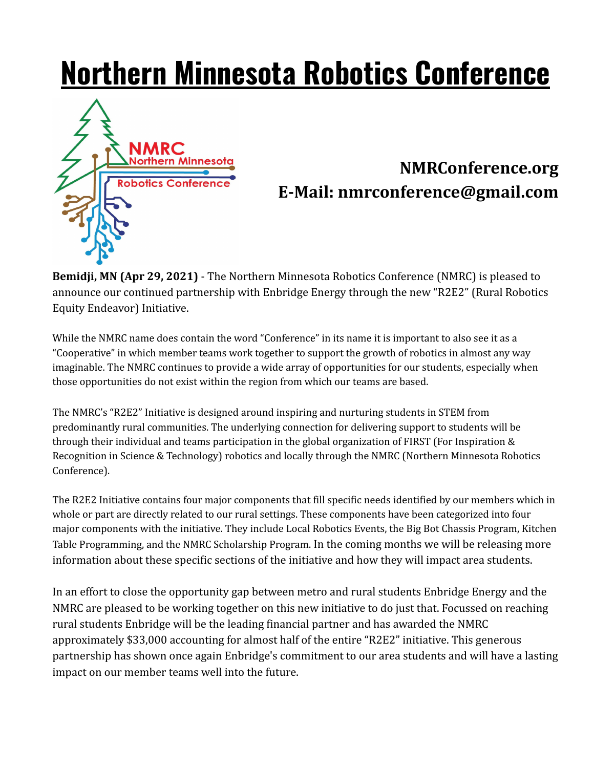## **Northern Minnesota Robotics Conference**



## **NMRConference.org E-Mail: nmrconference@gmail.com**

**Bemidji, MN (Apr 29, 2021)** - The Northern Minnesota Robotics Conference (NMRC) is pleased to announce our continued partnership with Enbridge Energy through the new "R2E2" (Rural Robotics Equity Endeavor) Initiative.

While the NMRC name does contain the word "Conference" in its name it is important to also see it as a "Cooperative" in which member teams work together to support the growth of robotics in almost any way imaginable. The NMRC continues to provide a wide array of opportunities for our students, especially when those opportunities do not exist within the region from which our teams are based.

The NMRC's "R2E2" Initiative is designed around inspiring and nurturing students in STEM from predominantly rural communities. The underlying connection for delivering support to students will be through their individual and teams participation in the global organization of FIRST (For Inspiration & Recognition in Science & Technology) robotics and locally through the NMRC (Northern Minnesota Robotics Conference).

The R2E2 Initiative contains four major components that fill specific needs identified by our members which in whole or part are directly related to our rural settings. These components have been categorized into four major components with the initiative. They include Local Robotics Events, the Big Bot Chassis Program, Kitchen Table Programming, and the NMRC Scholarship Program. In the coming months we will be releasing more information about these specific sections of the initiative and how they will impact area students.

In an effort to close the opportunity gap between metro and rural students Enbridge Energy and the NMRC are pleased to be working together on this new initiative to do just that. Focussed on reaching rural students Enbridge will be the leading financial partner and has awarded the NMRC approximately \$33,000 accounting for almost half of the entire "R2E2" initiative. This generous partnership has shown once again Enbridge's commitment to our area students and will have a lasting impact on our member teams well into the future.